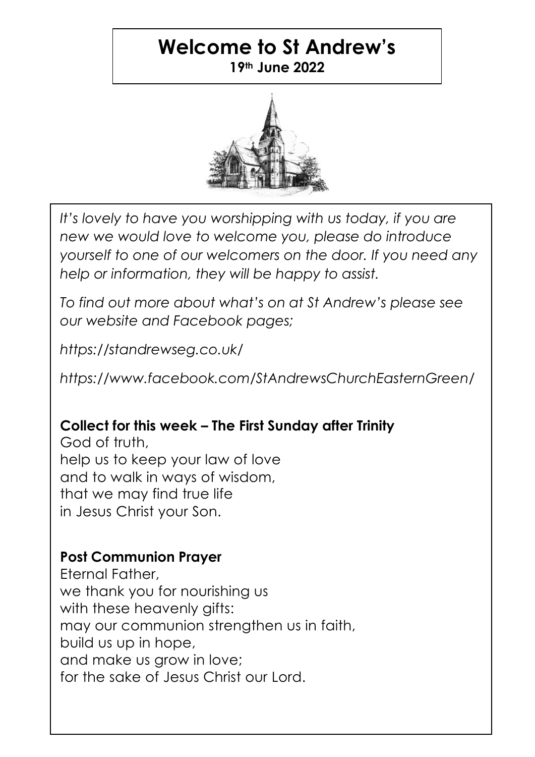## **Welcome to St Andrew's 19th June 2022**



*It's lovely to have you worshipping with us today, if you are new we would love to welcome you, please do introduce yourself to one of our welcomers on the door. If you need any help or information, they will be happy to assist.*

*To find out more about what's on at St Andrew's please see our website and Facebook pages;*

*https://standrewseg.co.uk/*

*https://www.facebook.com/StAndrewsChurchEasternGreen/*

# **Collect for this week – The First Sunday after Trinity**

God of truth, help us to keep your law of love and to walk in ways of wisdom, that we may find true life in Jesus Christ your Son.

### **Post Communion Prayer**

Eternal Father, we thank you for nourishing us with these heavenly gifts: may our communion strenathen us in faith, build us up in hope, and make us grow in love; for the sake of Jesus Christ our Lord.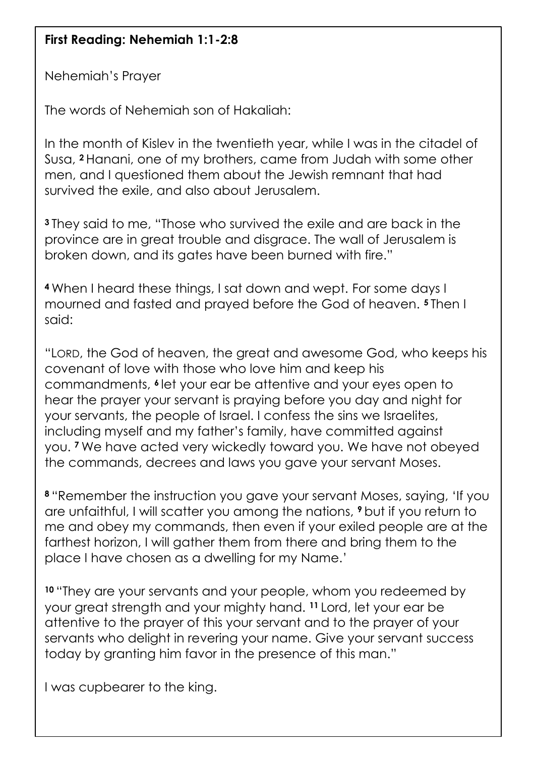### **First Reading: Nehemiah 1:1-2:8**

Nehemiah's Prayer

The words of Nehemiah son of Hakaliah:

In the month of Kislev in the twentieth year, while I was in the citadel of Susa, **<sup>2</sup>** Hanani, one of my brothers, came from Judah with some other men, and I questioned them about the Jewish remnant that had survived the exile, and also about Jerusalem.

**<sup>3</sup>** They said to me, "Those who survived the exile and are back in the province are in great trouble and disgrace. The wall of Jerusalem is broken down, and its gates have been burned with fire."

**<sup>4</sup>** When I heard these things, I sat down and wept. For some days I mourned and fasted and prayed before the God of heaven. **<sup>5</sup>** Then I said:

"LORD, the God of heaven, the great and awesome God, who keeps his covenant of love with those who love him and keep his commandments, **<sup>6</sup>** let your ear be attentive and your eyes open to hear the prayer your servant is praying before you day and night for your servants, the people of Israel. I confess the sins we Israelites, including myself and my father's family, have committed against you. **<sup>7</sup>** We have acted very wickedly toward you. We have not obeyed the commands, decrees and laws you gave your servant Moses.

**<sup>8</sup>** "Remember the instruction you gave your servant Moses, saying, 'If you are unfaithful, I will scatter you among the nations, **<sup>9</sup>** but if you return to me and obey my commands, then even if your exiled people are at the farthest horizon, I will gather them from there and bring them to the place I have chosen as a dwelling for my Name.'

**<sup>10</sup>** "They are your servants and your people, whom you redeemed by your great strength and your mighty hand. **<sup>11</sup>** Lord, let your ear be attentive to the prayer of this your servant and to the prayer of your servants who delight in revering your name. Give your servant success today by granting him favor in the presence of this man."

I was cupbearer to the king.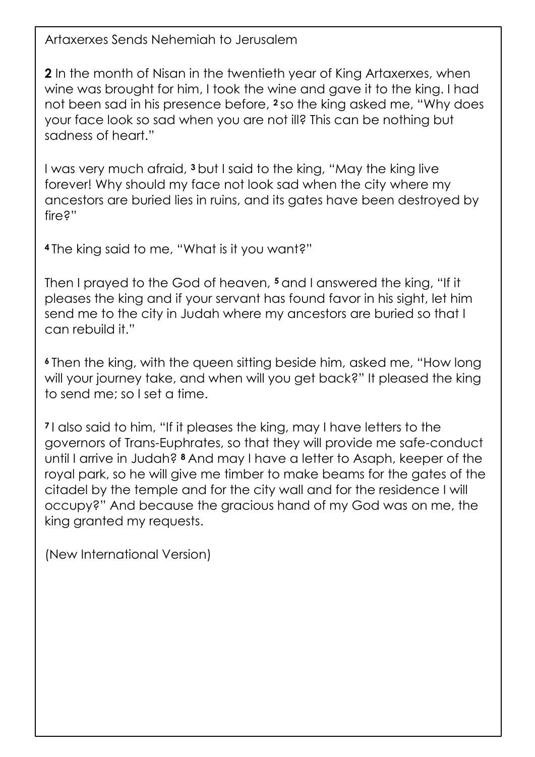Artaxerxes Sends Nehemiah to Jerusalem

**2** In the month of Nisan in the twentieth year of King Artaxerxes, when wine was brought for him, I took the wine and gave it to the king. I had not been sad in his presence before, **<sup>2</sup>** so the king asked me, "Why does your face look so sad when you are not ill? This can be nothing but sadness of heart."

I was very much afraid, **<sup>3</sup>** but I said to the king, "May the king live forever! Why should my face not look sad when the city where my ancestors are buried lies in ruins, and its gates have been destroyed by fire?"

**<sup>4</sup>** The king said to me, "What is it you want?"

Then I prayed to the God of heaven, **<sup>5</sup>** and I answered the king, "If it pleases the king and if your servant has found favor in his sight, let him send me to the city in Judah where my ancestors are buried so that I can rebuild it."

**<sup>6</sup>** Then the king, with the queen sitting beside him, asked me, "How long will your journey take, and when will you get back?" It pleased the king to send me; so I set a time.

**<sup>7</sup>** I also said to him, "If it pleases the king, may I have letters to the governors of Trans-Euphrates, so that they will provide me safe-conduct until I arrive in Judah? **<sup>8</sup>** And may I have a letter to Asaph, keeper of the royal park, so he will give me timber to make beams for the gates of the citadel by the temple and for the city wall and for the residence I will occupy?" And because the gracious hand of my God was on me, the king granted my requests.

(New International Version)